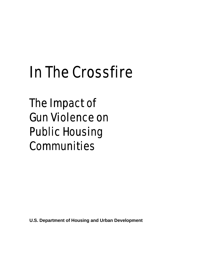# In The Crossfire

The Impact of Gun Violence on Public Housing Communities

**U.S. Department of Housing and Urban Development**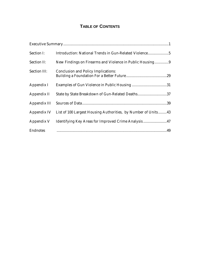# **TABLE OF CONTENTS**

| Section I:      | Introduction: National Trends in Gun-Related Violence5                    |  |
|-----------------|---------------------------------------------------------------------------|--|
| Section II:     | New Findings on Firearms and Violence in Public Housing9                  |  |
| Section III:    | <b>Conclusion and Policy Implications:</b>                                |  |
| Appendix I      |                                                                           |  |
| Appendix II     | State by State Breakdown of Gun-Related Deaths37                          |  |
|                 |                                                                           |  |
|                 | Appendix IV List of 100 Largest Housing Authorities, by Number of Units43 |  |
| Appendix V      | Identifying Key Areas for Improved Crime Analysis47                       |  |
| <b>Endnotes</b> |                                                                           |  |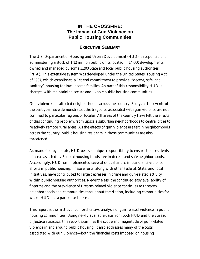# **IN THE CROSSFIRE: The Impact of Gun Violence on Public Housing Communities**

## **EXECUTIVE SUMMARY**

The U.S. Department of Housing and Urban Development (HUD) is responsible for administering a stock of 1.12 million public units located in 14,000 developments owned and managed by some 3,200 State and local public housing authorities (PHA). This extensive system was developed under the United States Housing Act of 1937, which established a Federal commitment to provide, "decent, safe, and sanitary" housing for low-income families. As part of this responsibility HUD is charged with maintaining secure and livable public housing communities.

Gun violence has affected neighborhoods across the country. Sadly, as the events of the past year have demonstrated, the tragedies associated with gun violence are not confined to particular regions or locales. All areas of the country have felt the effects of this continuing problem, from upscale suburban neighborhoods to central cities to relatively remote rural areas. As the effects of gun violence are felt in neighborhoods across the country, public housing residents in those communities are also threatened.

As mandated by statute, HUD bears a unique responsibility to ensure that residents of areas assisted by Federal housing funds live in decent and safe neighborhoods. Accordingly, HUD has implemented several critical anti-crime and anti-violence efforts in public housing. These efforts, along with other Federal, State, and local initiatives, have contributed to large decreases in crime and gun-related activity within public housing authorities. Nevertheless, the continued easy availability of firearms and the prevalence of firearm-related violence continues to threaten neighborhoods and communities throughout the Nation, including communities for which HUD has a particular interest.

This report is the first-ever comprehensive analysis of gun-related violence in public housing communities. Using newly available data from both HUD and the Bureau of Justice Statistics, this report examines the scope and magnitude of gun-related violence in and around public housing. It also addresses many of the costs associated with gun violence—both the financial costs imposed on housing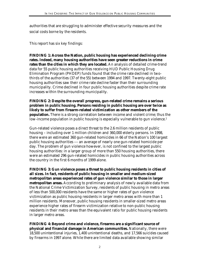authorities that are struggling to administer effective security measures and the social costs borne by the residents.

This report has six key findings:

**FINDING 1: Across the Nation, public housing has experienced declining crime rates. Indeed, many housing authorities have seen greater reductions in crime rates than the cities in which they are located.** An analysis of detailed crime-trend data for 55 public housing authorities receiving HUD Public Housing Drug Elimination Program (PHDEP) funds found that the crime rate declined in twothirds of the authorities (37 of the 55) between 1994 and 1997. Twenty-eight public housing authorities saw their crime rate decline faster than their surrounding municipality. Crime declined in four public housing authorities despite crime rate increases within the surrounding municipality.

**FINDING 2: Despite the overall progress, gun-related crime remains a serious problem in public housing. Persons residing in public housing are over twice as likely to suffer from firearm-related victimization as other members of the population.** There is a strong correlation between income and violent crime; thus the low-income population in public housing is especially vulnerable to gun violence.<sup>1</sup>

Gun-related violence poses a direct threat to the 2.6 million residents of public housing – including over 1 million children and 360,000 elderly persons. In 1998, there were an estimated 360 gun-related homicides in 66 of the Nation's 100 largest public housing authorities --- an average of nearly one gun-related homicide per day. The problem of gun violence however, is not confined to the largest public housing authorities: in a larger group of more than 550 housing authorities, there were an estimated 296 gun-related homicides in public housing authorities across the country in the first 6 months of 1999 alone.

**FINDING 3: Gun violence poses a threat to public housing residents in cities of all sizes. In fact, residents of public housing in smaller and medium-sized metropolitan areas experienced rates of gun violence similar to those in larger metropolitan areas.** According to preliminary analysis of newly available data from the National Crime Victimization Survey, residents of public housing in metro areas of less than 500,000 residents have the same or higher rates of gun violence victimization as public housing residents in larger metro areas with more than 1 million residents. Moreover, public housing residents in smaller-sized metro areas experience higher rates of firearm victimization relative to non-public housing residents in their metro areas than the equivalent ratio for public housing residents in larger metro areas.

**FINDING 4: Beyond crime and violence, firearms are a significant source of physical and financial damage in American communities.** Nationally, there were 18,500 unintentional injuries, 1,400 unintentional deaths, and 17,566 suicides caused by firearms in 1997 alone. While there are limited data available showing similar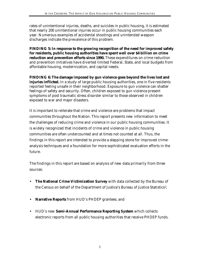rates of unintentional injuries, deaths, and suicides in public housing, it is estimated that nearly 200 unintentional injuries occur in public housing communities each year. Numerous examples of accidental shootings and unintended weapon discharges indicate the prevalence of this problem.

**FINDING 5: In response to the growing recognition of the need for improved safety for residents, public housing authorities have spent well over \$4 billion on crime reduction and prevention efforts since 1990.** These expenditures on crime reduction and prevention initiatives have diverted limited Federal, State, and local budgets from affordable housing, modernization, and capital needs.

**FINDING 6: The damage imposed by gun violence goes beyond the lives lost and injuries inflicted.** In a study of large public housing authorities, one in five residents reported feeling unsafe in their neighborhood. Exposure to gun violence can shatter feelings of safety and security. Often, children exposed to gun violence present symptoms of post traumatic stress disorder similar to those observed in children exposed to war and major disasters.

It is important to reiterate that crime and violence are problems that impact communities throughout the Nation. This report presents new information to meet the challenges of reducing crime and violence in our public housing communities. It is widely recognized that incidents of crime and violence in public housing communities are often undercounted and at times not counted at all. Thus, the findings in this report are intended to provide a stepping stone for improved crimeanalysis techniques and a foundation for more sophisticated evaluation efforts in the future.

The findings in this report are based on analysis of new data primarily from three sources:

- **The National Crime Victimization Survey** with data collected by the Bureau of the Census on behalf of the Department of Justice's Bureau of Justice Statistics?;
- **Narrative Reports** from HUD's PHDEP grantees; and
- HUD's new **Semi-Annual Performance Reporting System** which collects electronic reports from all public housing authorities that receive PHDEP funds.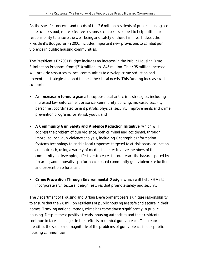As the specific concerns and needs of the 2.6 million residents of public housing are better understood, more effective responses can be developed to help fulfill our responsibility to ensure the well-being and safety of these families. Indeed, the President's Budget for FY2001 includes important new provisions to combat gun violence in public housing communities.

The President's FY2001 Budget includes an increase in the Public Housing Drug Elimination Program, from \$310 million, to \$345 million. This \$35 million increase will provide resources to local communities to develop crime reduction and prevention strategies tailored to meet their local needs. This funding increase will support:

- **An increase in formula grants** to support local anti-crime strategies, including increased law enforcement presence, community policing, increased security personnel, coordinated tenant patrols, physical security improvements and crime prevention programs for at-risk youth; and
- **A Community Gun Safety and Violence Reduction Initiative**, which will address the problem of gun violence, both criminal and accidental, through: improved local gun violence analysis, including Geographic Information Systems technology to enable local responses targeted to at-risk areas; education and outreach, using a variety of media, to better involve members of the community in developing effective strategies to counteract the hazards posed by firearms; and innovative performance-based community gun violence reduction and prevention efforts; and
- **Crime Prevention Through Environmental Design**, which will help PHAs to incorporate architectural design features that promote safety and security

The Department of Housing and Urban Development bears a unique responsibility to ensure that the 2.6 million residents of public housing are safe and secure in their homes. Tracking national trends, crime has come down significantly in public housing. Despite these positive trends, housing authorities and their residents continue to face challenges in their efforts to combat gun violence. This report identifies the scope and magnitude of the problems of gun violence in our public housing communities.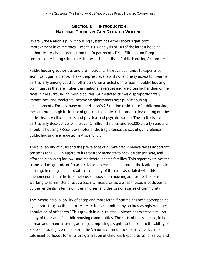# **SECTION I: INTRODUCTION: NATIONAL TRENDS IN GUN-RELATED VIOLENCE**

Overall, the Nation's public housing system has experienced significant improvement in crime rates. Recent HUD analysis of 100 of the largest housing authorities receiving grants from the Department's Drug Elimination Program has confirmed declining crime rates in the vast majority of Public Housing Authorities.<sup>3</sup>

Public housing authorities and their residents, however, continue to experience significant gun violence. The widespread availability of and easy access to firearms, particularly among youthful offenders<sup>4</sup>, have fueled crime rates in public housing communities that are higher than national averages and are often higher than crime rates in the surrounding municipalities. Gun-related crimes disproportionately impact low- and moderate-income neighborhoods near public housing developments. For too many of the Nation's 2.6 million residents of public housing, the continuing high incidence of gun-related violence imposes a devastating number of deaths, as well as injuries and physical and psychic trauma. These effects are particularly destructive for the over 1 million children and 360,000 elderly residents of public housing.<sup>5</sup> Recent examples of the tragic consequences of gun violence in public housing are reported in Appendix I.

The availability of guns and the prevalence of gun-related violence raises important concerns for HUD in regard to its statutory mandate to provide decent, safe, and affordable housing for low- and moderate-income families. This report examines the scope and magnitude of firearm-related violence in and around the Nation's public housing. In doing so, it also addresses many of the costs associated with this phenomenon, both the financial costs imposed on housing authorities that are working to administer effective security measures, as well as the social costs borne by the residents in terms of lives, injuries, and the loss of a sense of community.

The increasing availability of cheap and more lethal firearms has been accompanied by a dramatic growth in gun-related crimes committed by an increasingly younger population of offenders.<sup>6</sup> This growth in gun-related violence has exacted a toll on many of the Nation's public housing communities. The costs of this violence, in both human and financial terms, are major, imposing a significant barrier to the ability of State and local governments and the Nation's communities to provide decent and safe neighborhoods for an entire generation of children. Expenditures for safety and

5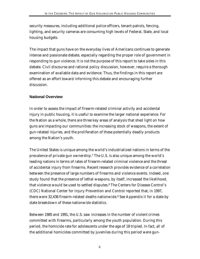security measures, including additional police officers, tenant patrols, fencing, lighting, and security cameras are consuming high levels of Federal, State, and local housing budgets.

The impact that guns have on the everyday lives of Americans continues to generate intense and passionate debate, especially regarding the proper role of government in responding to gun violence. It is not the purpose of this report to take sides in this debate. Civil discourse and rational policy discussion, however, require a thorough examination of available data and evidence. Thus, the findings in this report are offered as an effort toward informing this debate and encouraging further discussion.

## **National Overview**

In order to assess the impact of firearm-related criminal activity and accidental injury in public housing, it is useful to examine the larger national experience. For the Nation as a whole, there are three key areas of analysis that shed light on how guns are impacting our communities: the increasing stock of weapons, the extent of gun-related injuries, and the proliferation of these potentially deadly products among the Nation's youth.

The United States is unique among the world's industrialized nations in terms of the prevalence of private gun ownership.<sup>7</sup> The U.S. is also unique among the world's leading nations in terms of rates of firearm-related criminal violence and the threat of accidental injury from firearms. Recent research provides evidence of a correlation between the presence of large numbers of firearms and violence events. Indeed, one study found that the presence of lethal weapons, by itself, increased the likelihood, that violence would be used to settled disputes.<sup>8</sup> The Centers for Disease Control's (CDC) National Center for Injury Prevention and Control reported that, in 1997, there were 32,436 firearm-related deaths nationwide.<sup>9</sup> See Appendix II for a state by state breakdown of these nationwide statistics.

Between 1985 and 1991, the U.S. saw increases in the number of violent crimes committed with firearms, particularly among the youth population. During this period, the homicide rate for adolescents under the age of 18 tripled. In fact, all of the additional homicides committed by juveniles during this period were gun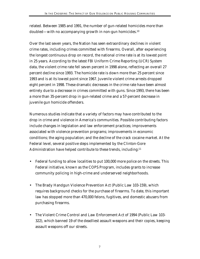related. Between 1985 and 1991, the number of gun-related homicides more than doubled—with no accompanying growth in non-gun homicides.<sup>10</sup>

Over the last seven years, the Nation has seen extraordinary declines in violent crime rates, including crimes committed with firearms. Overall, after experiencing the longest continuous drop on record, the national crime rate is at its lowest point in 25 years. According to the latest FBI Uniform Crime Reporting (UCR) System data, the violent crime rate fell seven percent in 1998 alone, reflecting an overall 27 percent decline since 1993. The homicide rate is down more than 25 percent since 1993 and is at its lowest point since 1967. Juvenile violent crime arrests dropped eight percent in 1998. These dramatic decreases in the crime rate have been almost entirely due to a decrease in crimes committed with guns. Since 1993, there has been a more than 35-percent drop in gun-related crime and a 57-percent decrease in juvenile gun homicide offenders.

Numerous studies indicate that a variety of factors may have contributed to the drop in crime and violence in America's communities. Possible contributing factors include changes in legislation and law enforcement practices; improvements associated with violence prevention programs; improvements in economic conditions; the aging population; and the decline of the crack cocaine market. At the Federal level, several positive steps implemented by the Clinton-Gore Administration have helped contribute to these trends, including:<sup>11</sup>

- Federal funding to allow localities to put 100,000 more police on the streets. This Federal initiative, known as the COPS Program, includes grants to increase community policing in high-crime and underserved neighborhoods.
- The Brady Handgun Violence Prevention Act (Public Law 103-159), which requires background checks for the purchase of firearms. To date, this important law has stopped more than 470,000 felons, fugitives, and domestic abusers from purchasing firearms.
- The Violent Crime Control and Law Enforcement Act of 1994 (Public Law 103- 322), which banned 19 of the deadliest assault weapons and their copies, keeping assault weapons off our streets.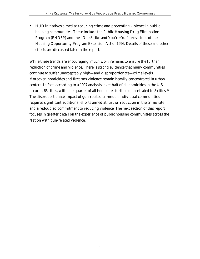• HUD initiatives aimed at reducing crime and preventing violence in public housing communities. These include the Public Housing Drug Elimination Program (PHDEP) and the "One Strike and You're Out" provisions of the Housing Opportunity Program Extension Act of 1996. Details of these and other efforts are discussed later in the report.

While these trends are encouraging, much work remains to ensure the further reduction of crime and violence. There is strong evidence that many communities continue to suffer unacceptably high—and disproportionate—crime levels. Moreover, homicides and firearms violence remain heavily concentrated in urban centers. In fact, according to a 1997 analysis, over half of all homicides in the U.S. occur in 66 cities, with one-quarter of all homicides further concentrated in 8 cities.<sup>12</sup> The disproportionate impact of gun-related crimes on individual communities requires significant additional efforts aimed at further reduction in the crime rate and a redoubled commitment to reducing violence. The next section of this report focuses in greater detail on the experience of public housing communities across the Nation with gun-related violence.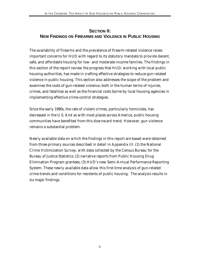# **SECTION II: NEW FINDINGS ON FIREARMS AND VIOLENCE IN PUBLIC HOUSING**

The availability of firearms and the prevalence of firearm-related violence raises important concerns for HUD with regard to its statutory mandate to provide decent, safe, and affordable housing for low- and moderate-income families. The findings in this section of the report review the progress that HUD, working with local public housing authorities, has made in crafting effective strategies to reduce gun-related violence in public housing. This section also addresses the scope of the problem and examines the costs of gun-related violence, both in the human terms of injuries, crimes, and fatalities as well as the financial costs borne by local housing agencies in implementing effective crime-control strategies.

Since the early 1990s, the rate of violent crimes, particularly homicides, has decreased in the U.S. And as with most places across America, public housing communities have benefited from this downward trend. However, gun violence remains a substantial problem.

Newly available data on which the findings in this report are based were obtained from three primary sources described in detail in Appendix III: (1) the National Crime Victimization Survey, with data collected by the Census Bureau for the Bureau of Justice Statistics; (2) narrative reports from Public Housing Drug Elimination Program grantees; (3) HUD's new Semi-Annual Performance Reporting System. These newly available data allow this first-time analysis of gun-related crime trends and conditions for residents of public housing. The analysis results in six major findings.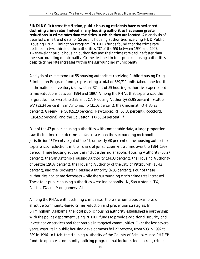**FINDING 1: Across the Nation, public housing residents have experienced declining crime rates. Indeed, many housing authorities have seen greater reductions in crime rates than the cities in which they are located.** An analysis of detailed crime trend data for 55 public housing authorities receiving HUD Public Housing Drug Elimination Program (PHDEP) funds found that the crime rate declined in two-thirds of the authorities (37 of the 55) between 1994 and 1997. Twenty-eight public housing authorities saw their crime rate decline faster than their surrounding municipality. Crime declined in four public housing authorities despite crime rate increases within the surrounding municipality.

Analysis of crime trends at 55 housing authorities receiving Public Housing Drug Elimination Program funds, representing a total of 389,711 units (about one-fourth of the national inventory), shows that 37 out of 55 housing authorities experienced crime reductions between 1994 and 1997. Among the PHAs that experienced the largest declines were the Oakland, CA Housing Authority(38.95 percent), Seattle WA(32.34 percent), San Antonio, TX(31.02 percent), the Cincinnati, OH(30.93 percent), Greenville, SC(85.23 percent), Pawtucket, RI (65.38 percent), Rockford, IL $(64.52$  percent), and the Galveston, TX $(58.24$  percent).<sup>13</sup>

Out of the 47 public housing authorities with comparable data, a large proportion saw their crime rates decline *at a faster rate* than the surrounding metropolitan jurisdiction.14 Twenty-eight of the 47, or nearly 60 percent of the housing authorities experienced reductions in their share of jurisdiction-wide crime over the 1994–1997 period. These housing authorities include the Indianapolis Housing Authority (50.27 percent), the San Antonio Housing Authority (34.03 percent), the Housing Authority of Seattle (29.37 percent), the Housing Authority of the City of Pittsburgh (18.42 percent), and the Rochester Housing Authority (6.85 percent). Four of these authorities had crime decreases while the surrounding city's crime rate increased. These four public housing authorities were Indianapolis, IN, San Antonio, TX, Austin, TX and Montgomery, AL.

Among the PHAs with declining crime rates, there are numerous examples of effective community-based crime reduction and prevention strategies. In Birmingham, Alabama, the local public housing authority established a partnership with the police department using PHDEP funds to provide additional security and investigative services and foot patrols in targeted communities. Over the last several years, assaults in public housing developments fell 27 percent, from 533 in 1992 to 389 in 1996. In Utah, the Housing Authority of the County of Salt Lake used PHDEP funds to operate a community policing program that includes foot patrols, crime

10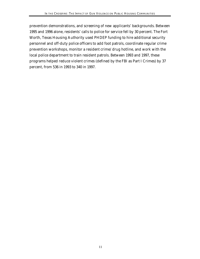prevention demonstrations, and screening of new applicants' backgrounds. Between 1995 and 1996 alone, residents' calls to police for service fell by 30 percent. The Fort Worth, Texas Housing Authority used PHDEP funding to hire additional security personnel and off-duty police officers to add foot patrols, coordinate regular crime prevention workshops, monitor a resident crime/drug hotline, and work with the local police department to train resident patrols. Between 1993 and 1997, these programs helped reduce violent crimes (defined by the FBI as Part I Crimes) by 37 percent, from 536 in 1993 to 340 in 1997.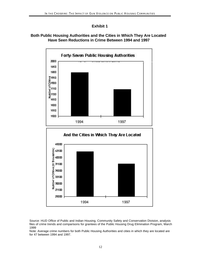## **Exhibit 1**

## **Both Public Housing Authorities and the Cities in Which They Are Located Have Seen Reductions in Crime Between 1994 and 1997**



Source: HUD Office of Public and Indian Housing, Community Safety and Conservation Division, analysis files of crime trends and comparisons for grantees of the Public Housing Drug Elimination Program, March 1999

Note: Average crime numbers for both Public Housing Authorities and cities in which they are located are for 47 between 1994 and 1997.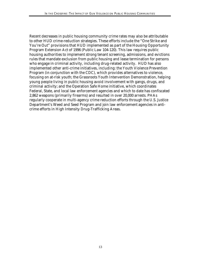Recent decreases in public housing community crime rates may also be attributable to other HUD crime-reduction strategies. These efforts include the "One Strike and You're Out" provisions that HUD implemented as part of the Housing Opportunity Program Extension Act of 1996 (Public Law 104-120). This law requires public housing authorities to implement strong tenant screening, admissions, and evictions rules that mandate exclusion from public housing and lease termination for persons who engage in criminal activity, including drug-related activity. HUD has also implemented other anti-crime initiatives, including: the Youth Violence Prevention Program (in conjunction with the CDC), which provides alternatives to violence, focusing on at-risk youth; the Grassroots Youth Intervention Demonstration, helping young people living in public housing avoid involvement with gangs, drugs, and criminal activity; and the Operation Safe Home initiative, which coordinates Federal, State, and local law enforcement agencies and which to date has confiscated 2,862 weapons (primarily firearms) and resulted in over 20,000 arrests. PHAs regularly cooperate in multi-agency crime reduction efforts through the U.S. Justice Department's Weed and Seed Program and join law enforcement agencies in anticrime efforts in High Intensity Drug-Trafficking Areas.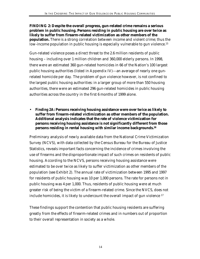**FINDING 2: Despite the overall progress, gun-related crime remains a serious problem in public housing. Persons residing in public housing are over twice as likely to suffer from firearm-related victimization as other members of the population.** There is a strong correlation between income and violent crime; thus the low-income population in public housing is especially vulnerable to gun violence.<sup>15</sup>

Gun-related violence poses a direct threat to the 2.6 million residents of public housing – including over 1 million children and 360,000 elderly persons. In 1998, there were an estimated 360 gun-related homicides in 66 of the Nation's 100 largest public housing authorities (listed in Appendix IV)---an average of nearly one gunrelated homicide per day. The problem of gun violence however, is not confined to the largest public housing authorities: in a larger group of more than 550 housing authorities, there were an estimated 296 gun-related homicides in public housing authorities across the country in the first 6 months of 1999 alone.

• *Finding 2A:* **Persons receiving housing assistance were over twice as likely to suffer from firearm-related victimization as other members of the population. Additional analysis indicates that the rate of violence victimization for persons receiving housing assistance is not significantly different from those persons residing in rental housing with similar income backgrounds.<sup>16</sup>**

Preliminary analysis of newly available data from the National Crime Victimization Survey (NCVS), with data collected by the Census Bureau for the Bureau of Justice Statistics, reveals important facts concerning the incidence of crimes involving the use of firearms and the disproportionate impact of such crimes on residents of public housing. According to the NCVS, persons receiving housing assistance were estimated to be over twice as likely to suffer victimization as other members of the population (see Exhibit 2). The annual rate of victimization between 1995 and 1997 for residents of public housing was 10 per 1,000 persons. The rate for persons not in public housing was 4 per 1,000. Thus, residents of public housing were at much greater risk of being the victim of a firearm-related crime. Since the NVCS, does not include homicides, it is likely to undercount the overall impact of gun violence <sup>17</sup>

These findings support the contention that public housing residents are suffering greatly from the effects of firearm-related crimes and in numbers out of proportion to their overall representation in society as a whole.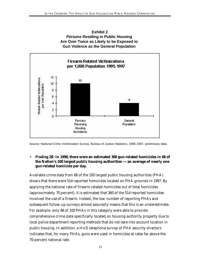



Source: National Crime Victimization Survey, Bureau of Justice Statistics, 1995-1997, preliminary data.

## • *Finding 2B:* **In 1998, there were an estimated 360 gun-related homicides in 66 of the Nation's 100 largest public housing authorities --- an average of nearly one gun-related homicide per day.**

Available crime data from 66 of the 100 largest public housing authorities (PHA) shows that there were 514 reported homicides located on PHA grounds in 1997. By applying the national rate of firearm-related homicides out of total homicides (approximately 70 percent), it is estimated that 360 of the 514 reported homicides involved the use of a firearm. Indeed, the low number of reporting PHAs and subsequent follow-up surveys almost assuredly means that this is an underestimate. For example, only 66 of 100 PHAs in this category were able to provide comprehensive crime data specifically located on housing authority property due to local police department reporting methods that do not take into account location in public housing. In addition, a HUD telephone survey of PHA security directors indicates that, for many PHAs, guns were used in homicides at rates far above the 70-percent national rate.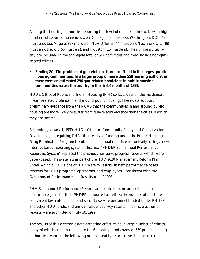Among the housing authorities reporting this level of detailed crime data with high numbers of reported homicides were Chicago (43 murders), Washington, D.C. (49 murders), Los Angeles (37 murders), New Orleans (44 murders), New York City (98 murders), Detroit (56 murders), and Houston (15 murders). The numbers cited by city are included in the aggregate total of 514 homicides and they include non-gunrelated crimes.

• *Finding 2C:* **The problem of gun violence is not confined to the largest public housing communities. In a larger group of more than 550 housing authorities, there were an estimated 296 gun-related homicides in public housing communities across the country in the first 6 months of 1999.**

HUD's Office of Public and Indian Housing (PIH) collects data on the incidence of firearm-related violence in and around public housing. These data support preliminary evidence from the NCVS that the communities in and around public housing are more likely to suffer from gun-related violence than the cities in which they are located.

Beginning January 1, 1999, HUD's Office of Community Safety and Conservation Division began requiring PHAs that received funding under the Public Housing Drug Elimination Program to submit semiannual reports electronically, using a new, Internet-based reporting system. This new "PHDEP Semiannual Performance Reporting System" replaced the previous narrative progress reports, which were paper-based. The system was part of the HUD 2020 Management Reform Plan, under which all Divisions of HUD were to "establish new performance-based systems for HUD programs, operations, and employees," consistent with the Government Performance and Results Act of 1993.

PHA Semiannual Performance Reports are required to include: crime data; measurable goals for their PHDEP-supported activities; the number of full-time equivalent law enforcement and security service personnel funded under PHDEP and other HUD funds; and annual resident survey results. The first electronic reports were submitted on July 30, 1999.

The results of this electronic data gathering effort reveal a large number of crimes, many of which are gun-related. In the 6-month period covered, 559 public housing authorities reported the following number and types of crimes that occurred on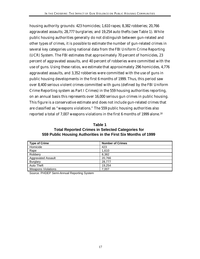housing authority grounds: 423 homicides; 1,610 rapes; 8,382 robberies; 20,766 aggravated assaults; 28,777 burglaries; and 19,254 auto thefts (see Table 1). While public housing authorities generally do not distinguish between gun-related and other types of crimes, it is possible to estimate the number of gun-related crimes in several key categories using national data from the FBI Uniform Crime Reporting (UCR) System. The FBI estimates that approximately 70 percent of homicides, 23 percent of aggravated assaults, and 40 percent of robberies were committed with the use of guns. Using these ratios, we estimate that approximately 296 homicides, 4,776 aggravated assaults, and 3,352 robberies were committed with the use of guns in public housing developments in the first 6 months of 1999. Thus, this period saw over 8,400 serious violent crimes committed with guns (defined by the FBI Uniform Crime Reporting system as Part I Crimes) in the 559 housing authorities reporting, on an annual basis this represents over 16,000 serious gun crimes in public housing. This figure is a conservative estimate and does not include gun-related crimes that are classified as "weapons violations." The 559 public housing authorities also reported a total of 7,007 weapons violations in the first 6 months of 1999 alone.<sup>18</sup>

#### **Table 1 Total Reported Crimes in Selected Categories for 559 Public Housing Authorities in the First Six Months of 1999**

| <b>Type of Crime</b>      | <b>Number of Crimes</b> |
|---------------------------|-------------------------|
| Homicide                  | 423                     |
| Rape                      | 1,610                   |
| Robbery                   | 8,382                   |
| <b>Aggravated Assault</b> | 20,766                  |
| <b>Burglary</b>           | 28,777                  |
| Auto Theft                | 19.254                  |
| <b>Weapons Violations</b> | 7,007                   |

Source: PHDEP Semi-Annual Reporting System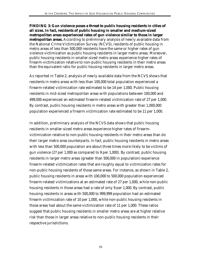**FINDING 3: Gun violence poses a threat to public housing residents in cities of all sizes. In fact, residents of public housing in smaller and medium-sized metropolitan areas experienced rates of gun violence similar to those in larger metropolitan areas.** According to preliminary analysis of newly available data from the National Crime Victimization Survey (NCVS), residents of public housing in metro areas of less than 500,000 residents have the same or higher rates of gun violence victimization as public housing residents in larger metro areas. Moreover, public housing residents in smaller-sized metro areas experience higher rates of firearm-victimization relative to non-public housing residents in their metro areas than the equivalent ratio for public housing residents in larger metro areas.

As reported in Table 2, analysis of newly available data from the NCVS shows that residents in metro areas with less than 100,000 total population experienced a firearm-related victimization rate estimated to be 14 per 1,000. Public housing residents in mid-sized metropolitan areas with populations between 100,000 and 499,000 experienced an estimated firearm-related victimization rate of 27 per 1,000. By contrast, public housing residents in metro areas with greater than 1,000,000 population experienced a firearm victimization rate estimated to be 11 per 1,000.

In addition, preliminary analysis of the NCVS data shows that public housing residents in smaller-sized metro areas experience higher rates of firearmvictimization relative to non-public housing residents in their metro areas than do their larger metro area counterparts. In fact, public housing residents in metro areas with less than 500,000 population are about three times more likely to be victims of gun violence (27 per 1,000 as compared to 9 per 1,000). By contrast, public housing residents in larger metro areas (greater than 500,000 in population) experience firearm-related victimization rates that are roughly equal to victimization rates for non-public housing residents of those same areas. For instance, as shown in Table 2, public housing residents in areas with 100,000 to 500,000 population experienced firearm-related victimizations at an estimated rate of 27 per 1,000, while non-public housing residents in those areas had a rate of only 9 per 1,000. By contrast, public housing residents in areas with 500,000 to 999,999 population had an estimated firearm victimization rate of 10 per 1,000, while non-public housing residents in those areas had about the same victimization rate of 11 per 1,000. These ratios suggest that public housing residents in smaller metro areas are at higher relative risk than those in larger areas relative to non-public housing residents in their respective jurisdictions.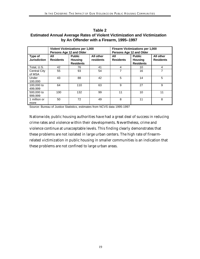| Table 2                                                                          |
|----------------------------------------------------------------------------------|
| <b>Estimated Annual Average Rates of Violent Victimization and Victimization</b> |
| by An Offender with a Firearm, 1995–1997                                         |

|                                | <b>Violent Victimizations per 1,000</b><br>Persons Age 12 and Older |                                                     |                        | Persons Age 12 and Older | <b>Firearm Victimizations per 1,000</b>             |                               |
|--------------------------------|---------------------------------------------------------------------|-----------------------------------------------------|------------------------|--------------------------|-----------------------------------------------------|-------------------------------|
| Type of<br><b>Jurisdiction</b> | All<br><b>Residents</b>                                             | <b>Public</b><br><b>Housing</b><br><b>Residents</b> | All other<br>residents | All<br><b>Residents</b>  | <b>Public</b><br><b>Housing</b><br><b>Residents</b> | All other<br><b>Residents</b> |
| Total, U.S.                    | 42                                                                  | 76                                                  | 41                     | 4                        | 10                                                  | 4                             |
| <b>Central City</b><br>of MSA  | 55                                                                  | 93                                                  | 54                     | 7                        | 16                                                  | 7                             |
| Under<br>100,000               | 43                                                                  | 88                                                  | 42                     | 5                        | 14                                                  | 5                             |
| 100,000 to<br>499,999          | 64                                                                  | 110                                                 | 63                     | 9                        | 27                                                  | 9                             |
| 500,000 to<br>999,999          | 100                                                                 | 132                                                 | 99                     | 11                       | 10                                                  | 11                            |
| 1 million or<br>more           | 50                                                                  | 72                                                  | 49                     | 8                        | 11                                                  | 8                             |

Source: Bureau of Justice Statistics, estimates from NCVS data 1995-1997

Nationwide, public housing authorities have had a great deal of success in reducing crime rates and violence within their developments. Nevertheless, crime and violence continue at unacceptable levels. This finding clearly demonstrates that these problems are not isolated in large urban centers. The high rate of firearmrelated victimization in public housing in smaller communities is an indication that these problems are not confined to large urban areas.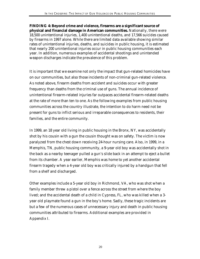**FINDING 4: Beyond crime and violence, firearms are a significant source of physical and financial damage in American communities.** Nationally, there were 18,500 unintentional injuries, 1,400 unintentional deaths, and 17,566 suicides caused by firearms in 1997 alone. While there are limited data available showing similar rates of unintentional injuries, deaths, and suicides in public housing, it is estimated that nearly 200 unintentional injuries occur in public housing communities each year. In addition, numerous examples of accidental shootings and unintended weapon discharges indicate the prevalence of this problem.

It is important that we examine not only the impact that gun-related homicides have on our communities, but also those incidents of non-criminal gun-related violence. As noted above, firearm deaths from accident and suicides occur with greater frequency than deaths from the criminal use of guns. The annual incidence of unintentional firearm-related injuries far outpaces accidental firearm-related deaths at the rate of more than ten to one. As the following examples from public housing communities across the country illustrate, the intention to do harm need not be present for guns to inflict serious and irreparable consequences to residents, their families, and the entire community.

In 1999, an 18 year old living in public housing in the Bronx, NY, was accidentally shot by his cousin with a gun the cousin thought was on safety. The victim is now paralyzed from the chest down receiving 24-hour nursing care. Also, in 1999, in a Memphis, TN, public housing community, a 9-year old boy was accidentally shot in the back as a nearby teenager pulled a gun's slide back in an attempt to eject a bullet from its chamber. A year earlier, Memphis was home to yet another accidental firearm tragedy when a 4-year old boy was critically injured by a handgun that fell from a shelf and discharged.

Other examples include a 5-year old boy in Richmond, VA, who was shot when a family member threw a pistol over a fence across the street from where the boy lived; and the accidental death of a child in Cypress, FL, who was killed when a 3 year old playmate found a gun in the boy's home. Sadly, these tragic incidents are but a few of the numerous cases of unnecessary injury and death in public housing communities attributed to firearms. Additional examples are provided in Appendix I.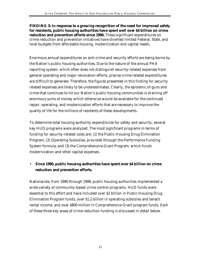**FINDING 5: In response to a growing recognition of the need for improved safety for residents, public housing authorities have spent well over \$4 billion on crime reduction and prevention efforts since 1990.** These significant expenditures on crime reduction and prevention initiatives have diverted limited Federal, State, and local budgets from affordable housing, modernization and capital needs.

Enormous annual expenditures on anti-crime and security efforts are being borne by the Nation's public housing authorities. Due to the nature of the annual PHA reporting system, which often does not distinguish security-related expenses from general operating and major renovation efforts, precise crime-related expenditures are difficult to generate. Therefore, the figures presented in this finding for security related expenses are likely to be underestimates. Clearly, the epidemic of guns and crime that continues to hit our Nation's public housing communities is draining off enormous sums of money which otherwise would be available for the continued repair, operating, and modernization efforts that are necessary to improve the quality of life for the millions of residents of these developments.

To determine total housing authority expenditures for safety and security, several key HUD programs were analyzed. The most significant programs in terms of funding for security-related costs are: (1) the Public Housing Drug Elimination Program; (2) Operating Subsidies, provided through the Performance Funding System formula; and (3) the Comprehensive Grant Program, which funds modernization and other capital expenses.

• **Since 1990, public housing authorities have spent over \$4 billion on crime reduction and prevention efforts.**

Nationwide, from 1990 through 1999, public housing authorities implemented a wide variety of community-based crime control programs. HUD funds were essential to this effort and have included over \$2 billion in Public Housing Drug Elimination Program funds, over \$1.2 billion in operating subsidies and tenant rental income, and over \$800 million in Comprehensive Grant program funds. Each of these three key areas of crime reduction funding is discussed in detail below.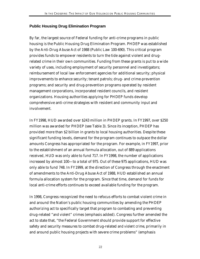## **Public Housing Drug Elimination Program**

By far, the largest source of Federal funding for anti-crime programs in public housing is the Public Housing Drug Elimination Program. PHDEP was established by the Anti-Drug Abuse Act of 1988 (Public Law 100-690). This critical program provides funds to empower residents to turn the tide against violent and drugrelated crime in their own communities. Funding from these grants is put to a wide variety of uses, including employment of security personnel and investigators; reimbursement of local law enforcement agencies for additional security; physical improvements to enhance security; tenant patrols; drug- and crime-prevention programs; and security and drug-prevention programs operated by resident management corporations, incorporated resident councils, and resident organizations. Housing authorities applying for PHDEP funds develop comprehensive anti-crime strategies with resident and community input and involvement.

In FY1998, HUD awarded over \$243 million in PHDEP grants. In FY1997, over \$250 million was awarded for PHDEP (see Table 3). Since its inception, PHDEP has provided more than \$2 billion in grants to local housing authorities. Despite these significant funding levels, demand for the program continues to outpace the dollar amounts Congress has appropriated for the program. For example, in FY1997, prior to the establishment of an annual formula allocation, out of 889 applications received, HUD was only able to fund 717. In FY1998, the number of applications increased by almost 100—to a total of 975. Out of these 975 applications, HUD was only able to fund 748. In FY1999, at the direction of Congress through the enactment of amendments to the Anti-Drug Abuse Act of 1988, HUD established an annual formula allocation system for the program. Since that time, demand for funds for local anti-crime efforts continues to exceed available funding for the program.

In 1998, Congress recognized the need to refocus efforts to combat violent crime in and around the Nation's public housing communities by amending the PHDEP authorizing act to specifically target that program to combating and preventing drug-related "*and violent*" crimes (emphasis added). Congress further amended the act to state that, "the Federal Government should provide support for effective safety and security measures to combat drug-related *and violent crime*, primarily in and around public housing projects with severe crime problems" (emphasis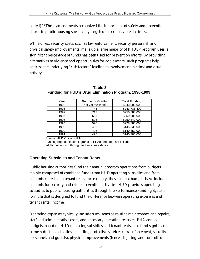added).19 These amendments recognized the importance of safety and prevention efforts in public housing specifically targeted to serious violent crimes.

While direct security costs, such as law enforcement, security personnel, and physical safety improvements, make up a large majority of PHDEP program uses, a significant percentage of funds has been used for prevention efforts. By providing alternatives to violence and opportunities for adolescents, such programs help address the underlying "risk factors" leading to involvement in crime and drug activity.

| Year | <b>Number of Grants</b> | <b>Total Funding</b> |
|------|-------------------------|----------------------|
| 1999 | not yet available       | \$243,000,000        |
| 1998 | 748                     | \$243,736,400        |
| 1997 | 717                     | \$250,380,000        |
| 1996 | 665                     | \$259,000,000        |
| 1995 | 526                     | \$250,340,000        |
| 1994 | 520                     | \$228,880,000        |
| 1993 | 439                     | \$145,530,000        |
| 1992 | 426                     | \$140,550,000        |
| 1991 | 496                     | \$140,780,000        |

**Table 3 Funding for HUD's Drug Elimination Program, 1990-1999**

Source: HUD Office of PIH

Funding represents direct grants to PHAs and does not include additional funding through technical assistance.

## **Operating Subsidies and Tenant Rents**

Public housing authorities fund their annual program operations from budgets mainly composed of combined funds from HUD operating subsidies and from amounts collected in tenant rents. Increasingly, these annual budgets have included amounts for security and crime prevention activities. HUD provides operating subsidies to public housing authorities through the Performance Funding System formula that is designed to fund the difference between operating expenses and tenant rental income.

Operating expenses typically include such items as routine maintenance and repairs, staff and administrative costs, and necessary operating reserves. PHA annual budgets, based on HUD operating subsidies and tenant rents, also fund significant crime reduction activities, including protective services (law enforcement, security personnel, and guards), physical improvements (fences, lighting, and controlled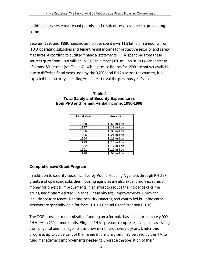building entry systems), tenant patrols, and resident services aimed at preventing crime.

Between 1990 and 1999, housing authorities spent over \$1.2 billion in amounts from HUD operating subsidies and tenant rental income for protective security and safety measures. According to audited financial statements, PHA spending from these sources grew from \$108 million in 1990 to almost \$160 million in 1998—an increase of almost 50 percent (see Table 4). While precise figures for 1999 are not yet available due to differing fiscal years used by the 3,200 local PHAs across the country, it is expected that security spending will at least rival the previous year's level.

| <b>Total Safety and Security Expenditures</b> |  |  |  |  |
|-----------------------------------------------|--|--|--|--|
| from PFS and Tenant Rental Income, 1990-1998  |  |  |  |  |
|                                               |  |  |  |  |

**Table 4**

| <b>Fiscal Year</b> | Amount        |
|--------------------|---------------|
|                    |               |
| 1998               | \$159 million |
| 1997               | \$133 million |
| 1996               | \$136 million |
| 1995               | \$121 million |
| 1994               | \$121 million |
| 1993               | \$116 million |
| 1992               | \$117 million |
| 1991               | \$112 million |
| 1990               | \$108 million |

# **Comprehensive Grant Program**

In addition to security costs incurred by Public Housing Agencies through PHDEP grants and operating subsidies, housing agencies are also expending vast sums of money for physical improvements in an effort to reduce the incidence of crime, drugs, and firearm-related violence. These physical improvements, which can include security fences, lighting, security cameras, and controlled building entry systems are generally paid for from HUD's Capital Grant Program (CGP).

The CGP provides modernization funding on a formula basis to approximately 900 PHAs with 250 or more units. Eligible PHAs prepare comprehensive plans assessing their physical and management improvement needs every 6 years. Under this program, up to 20 percent of their annual formula grant may be used by the HA to fund management improvements needed to upgrade the operation of their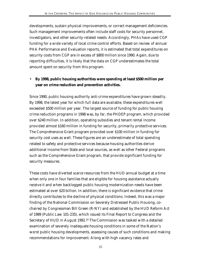developments, sustain physical improvements, or correct management deficiencies. Such management improvements often include staff costs for security personnel, investigators, and other security-related needs. Accordingly, PHAs have used CGP funding for a wide variety of local crime control efforts. Based on review of annual PHA Performance and Evaluation reports, it is estimated that total expenditures on security costs from CGP are in excess of \$800 million since 1990. Again, due to reporting difficulties, it is likely that the data on CGP underestimates the total amount spent on security from this program.

# • **By 1998, public housing authorities were spending at least \$500 million per year on crime reduction and prevention activities.**

Since 1990, public housing authority anti-crime expenditures have grown steadily. By 1998, the latest year for which full data are available, these expenditures well exceeded \$500 million per year. The largest source of funding for public housing crime reduction programs in 1998 was, by far, the PHDEP program, which provided over \$240 million. In addition, operating subsidies and tenant rental income provided almost \$160 million in funding for security, primarily protective services. The Comprehensive Grant program provided over \$100 million in funding for security cost uses as well. These figures are an underestimate of total spending related to safety and protective services because housing authorities derive additional income from State and local sources, as well as other Federal programs such as the Comprehensive Grant program, that provide significant funding for security measures.

These costs have diverted scarce resources from the HUD annual budget at a time when only one in four families that are eligible for housing assistance actually receive it and when backlogged public housing modernization needs have been estimated at over \$20 billion. In addition, there is significant evidence that crime directly contributes to the decline of physical conditions. Indeed, this was a major finding of the National Commission on Severely Distressed Public Housing, cochaired by Congressman Bill Green (R-NY) and established by the HUD Reform Act of 1989 (Public Law 101-235), which issued its Final Report to Congress and the Secretary of HUD in August 1992.20 The Commission was tasked with a detailed examination of severely inadequate housing conditions in some of the Nation's worst public housing developments, assessing causes of such conditions and making recommendations for improvement. Along with high vacancy rates and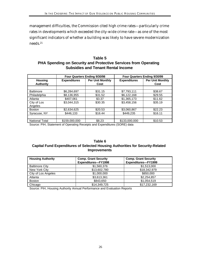management difficulties, the Commission cited high crime rates—particularly crime rates in developments which exceeded the city-wide crime rate—as one of the most significant indicators of whether a building was likely to have severe modernization needs.<sup>21</sup>

### **Table 5 PHA Spending on Security and Protective Services from Operating Subsidies and Tenant Rental Income**

| <b>Four Quarters Ending 9/30/98</b> |                                                |         | Four Quarters Ending 9/30/99 |                         |  |
|-------------------------------------|------------------------------------------------|---------|------------------------------|-------------------------|--|
| <b>Housing</b>                      | <b>Per Unit Monthly</b><br><b>Expenditures</b> |         | <b>Expenditures</b>          | <b>Per Unit Monthly</b> |  |
| <b>Authority</b>                    |                                                | Cost    |                              | Cost                    |  |
|                                     |                                                |         |                              |                         |  |
| <b>Baltimore</b>                    | \$6,284,697                                    | \$31.15 | \$7,793,111                  | \$38.67                 |  |
| Philadelphia                        | \$8,136,955                                    | \$31.52 | \$6,122,168                  | \$29.55                 |  |
| Atlanta                             | \$407,061                                      | \$3.37  | \$1,365,173                  | \$11.62                 |  |
| City of Los                         | \$3,044,315                                    | \$30.35 | \$3,458,156                  | \$35.19                 |  |
| Angeles                             |                                                |         |                              |                         |  |
| <b>Boston</b>                       | \$2,634,625                                    | \$20.53 | \$3,060,867                  | \$22.23                 |  |
| Syracuse, NY                        | \$446,133                                      | \$16.44 | \$449,235                    | \$16.11                 |  |
|                                     |                                                |         |                              |                         |  |
| <b>National Total</b>               | \$159,000,000                                  | \$8.23  | \$133,000,000                | \$10.53                 |  |

Source: PIH, Statement of Operating Receipts and Expenditures (SORE) data

#### **Table 6 Capital Fund Expenditures of Selected Housing Authorities for Security-Related Improvements**

| <b>Housing Authority</b> | <b>Comp. Grant Security</b><br>Expenditures-FY1998 | <b>Comp. Grant Security</b><br>Expenditures-FY1999 |
|--------------------------|----------------------------------------------------|----------------------------------------------------|
| <b>Baltimore City</b>    | \$1,560,376                                        | \$1,513,000                                        |
| New York City            | \$13,602,780                                       | \$18,342,979                                       |
| City of Los Angeles      | \$1,000,000                                        | \$850,000                                          |
| Atlanta                  | \$3,613,361                                        | \$2,254,857                                        |
| <b>Boston</b>            | \$843,650                                          | \$1,054,519                                        |
| Chicago                  | \$14,349,725                                       | \$17,232,169                                       |

Source: PIH, Housing Authority Annual Performance and Evaluation Reports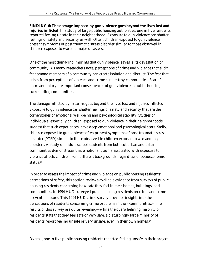**FINDING 6: The damage imposed by gun violence goes beyond the lives lost and injuries inflicted.** In a study of large public housing authorities, one in five residents reported feeling unsafe in their neighborhood. Exposure to gun violence can shatter feelings of safety and security as well. Often, children exposed to gun violence present symptoms of post traumatic stress disorder similar to those observed in children exposed to war and major disasters.

One of the most damaging imprints that gun violence leaves is its devastation of community. As many researchers note, perceptions of crime and violence that elicit fear among members of a community can create isolation and distrust. The fear that arises from perceptions of violence and crime can destroy communities. Fear of harm and injury are important consequences of gun violence in public housing and surrounding communities.

The damage inflicted by firearms goes beyond the lives lost and injuries inflicted. Exposure to gun violence can shatter feelings of safety and security that are the cornerstones of emotional well-being and psychological stability. Studies of individuals, especially children, exposed to gun violence in their neighborhoods suggest that such experiences leave deep emotional and psychological scars. Sadly, children exposed to gun violence often present symptoms of post-traumatic stress disorder (PTSD) similar to those observed in children exposed to war and major disasters. A study of middle school students from both suburban and urban communities demonstrates that emotional trauma associated with exposure to violence affects children from different backgrounds, regardless of socioeconomic status.<sup>22</sup>

In order to assess the impact of crime and violence on public housing residents' perceptions of safety, this section reviews available evidence from surveys of public housing residents concerning how safe they feel in their homes, buildings, and communities. In 1994 HUD surveyed public housing residents on crime and crime prevention issues. This 1994 HUD crime survey provides insights into the perceptions of residents concerning crime problems in their communities.23 The results of this survey are quite revealing—while the overwhelming majority of residents state that they feel safe or very safe, a disturbingly large minority of residents report feeling unsafe or very unsafe, even in their own homes.<sup>24</sup>

Overall, one in five public housing residents reported feeling unsafe in their project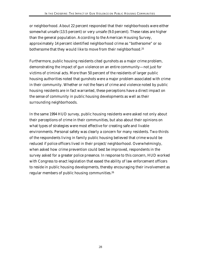or neighborhood. About 22 percent responded that their neighborhoods were either somewhat unsafe (13.5 percent) or very unsafe (9.0 percent). These rates are higher than the general population. According to the American Housing Survey, approximately 14 percent identified neighborhood crime as "bothersome" or so bothersome that they would like to move from their neighborhood.<sup>25</sup>

Furthermore, public housing residents cited gunshots as a major crime problem, demonstrating the impact of gun violence on an entire community—not just for victims of criminal acts. More than 50 percent of the residents of larger public housing authorities noted that gunshots were a major problem associated with crime in their community. Whether or not the fears of crime and violence noted by public housing residents are in fact warranted, these perceptions have a direct impact on the sense of community in public housing developments as well as their surrounding neighborhoods.

In the same 1994 HUD survey, public housing residents were asked not only about their perceptions of crime in their communities, but also about their opinions on what types of strategies were most effective for creating safe and livable environments. Personal safety was clearly a concern for many residents. Two-thirds of the respondents living in family public housing believed that crime would be reduced if police officers lived in their project/neighborhood. Overwhelmingly, when asked how crime prevention could best be improved, respondents in the survey asked for a greater police presence. In response to this concern, HUD worked with Congress to enact legislation that eased the ability of law enforcement officers to reside in public housing developments, thereby encouraging their involvement as regular members of public housing communities.26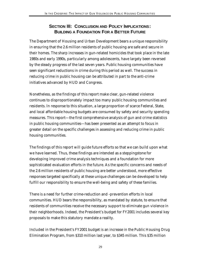# **SECTION III: CONCLUSION AND POLICY IMPLICATIONS: BUILDING A FOUNDATION FOR A BETTER FUTURE**

The Department of Housing and Urban Development bears a unique responsibility in ensuring that the 2.6 million residents of public housing are safe and secure in their homes. The sharp increases in gun-related homicides that took place in the late 1980s and early 1990s, particularly among adolescents, have largely been reversed by the steady progress of the last seven years. Public housing communities have seen significant reductions in crime during this period as well. The success in reducing crime in public housing can be attributed in part to the anti-crime initiatives advanced by HUD and Congress.

Nonetheless, as the findings of this report make clear, gun-related violence continues to disproportionately impact too many public housing communities and residents. In response to this situation, a large proportion of scarce Federal, State, and local affordable housing budgets are consumed by safety and security spending measures. This report—the first comprehensive analysis of gun and crime statistics in public housing communities—has been presented as an attempt to focus in greater detail on the specific challenges in assessing and reducing crime in public housing communities.

The findings of this report will guide future efforts so that we can build upon what we have learned. Thus, these findings are intended as a steppingstone for developing improved crime analysis techniques and a foundation for more sophisticated evaluation efforts in the future. As the specific concerns and needs of the 2.6 million residents of public housing are better understood, more effective responses targeted specifically at these unique challenges can be developed to help fulfill our responsibility to ensure the well-being and safety of these families.

There is a need for further crime-reduction and -prevention efforts in local communities. HUD bears the responsibility, as mandated by statute, to ensure that residents of communities receive the necessary support to eliminate gun violence in their neighborhoods. Indeed, the President's budget for FY2001 includes several key proposals to make this statutory mandate a reality.

Included in the President's FY2001 budget is an increase in the Public Housing Drug Elimination Program, from \$310 million last year, to \$345 million. This \$35 million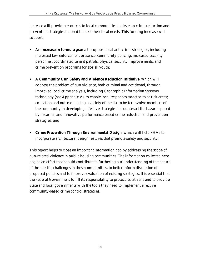increase will provide resources to local communities to develop crime reduction and prevention strategies tailored to meet their local needs. This funding increase will support:

- **An increase in formula grants** to support local anti-crime strategies, including increased law enforcement presence, community policing, increased security personnel, coordinated tenant patrols, physical security improvements, and crime prevention programs for at-risk youth;
- **A Community Gun Safety and Violence Reduction Initiative**, which will address the problem of gun violence, both criminal and accidental, through: improved local crime analysis, including Geographic Information Systems technology (see Appendix V), to enable local responses targeted to at-risk areas; education and outreach, using a variety of media, to better involve members of the community in developing effective strategies to counteract the hazards posed by firearms; and innovative performance-based crime reduction and prevention strategies; and
- **Crime Prevention Through Environmental Design**, which will help PHAs to incorporate architectural design features that promote safety and security.

This report helps to close an important information gap by addressing the scope of gun-related violence in public housing communities. The information collected here begins an effort that should contribute to furthering our understanding of the nature of the specific challenges in these communities, to better inform discussion of proposed policies and to improve evaluation of existing strategies. It is essential that the Federal Government fulfill its responsibility to protect its citizens and to provide State and local governments with the tools they need to implement effective community-based crime control strategies.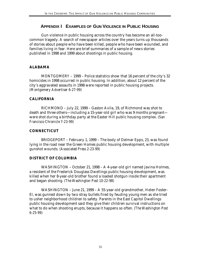## **APPENDIX I EXAMPLES OF GUN VIOLENCE IN PUBLIC HOUSING**

Gun violence in public housing across the country has become an all-toocommon tragedy. A search of newspaper articles over the years turns up thousands of stories about people who have been killed, people who have been wounded, and families living in fear. Here are brief summaries of a sample of news stories published in 1998 and 1999 about shootings in public housing.

#### **ALABAMA**

MONTGOMERY – 1999 – Police statistics show that 16 percent of the city's 32 homicides in 1998 occurred in public housing. In addition, about 12 percent of the city's aggravated assaults in 1998 were reported in public housing projects. *(Montgomery Advertiser 6-27-99)*

#### **CALIFORNIA**

RICHMOND – July 22, 1999 – Gaston Avila, 19, of Richmond was shot to death and three others—including a 15-year-old girl who was 9 months pregnant were shot during a birthday party at the Easter Hill public housing complex. *(San Francisco Chronicle 7-23-99)*

#### **CONNECTICUT**

BRIDGEPORT – February 1, 1999 – The body of Delmar Epps, 23, was found lying in the road near the Green Homes public housing development, with multiple gunshot wounds. *(Associated Press 2-23-99)*

#### **DISTRICT OF COLUMBIA**

WASHINGTON – October 21, 1998 – A 4-year-old girl named Javina Holmes, a resident of the Frederick Douglass Dwellings public housing development, was killed when her 8-year-old brother found a loaded shotgun inside their apartment and began shooting. *(The Washington Post 10-22-98)*

WASHINGTON – June 21, 1999 – A 55-year-old grandmother, Helen Foster-El, was gunned down by two stray bullets fired by feuding young men as she tried to usher neighborhood children to safety. Parents in the East Capitol Dwellings public housing development said they give their children survival instructions on what to do when shooting erupts, because it happens so often. *(The Washington Post 6-25-99)*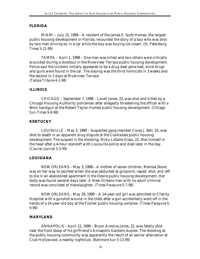#### **FLORIDA**

MIAMI – July 15, 1999 – A resident of the James E. Scott Homes, the largest public housing development in Florida, recounted the story of a boy who was shot by two men driving by in a car while the boy was buying ice cream. *(St. Petersburg Times 5-21-99)*

TAMPA – April 1, 1998 – One man was killed and two others were critically wounded during a shootout in the Riverview Terrace public housing development. Police said the incident initially appeared to be a drug deal gone bad, since drugs and guns were found in the car. The slaying was the third homicide in 3 weeks and the second in 2 days at Riverview Terrace. *(Tampa Tribune 4-2-98)*

#### **ILLINOIS**

CHICAGO – September 7, 1998 – Lavell Jones, 22, was shot and killed by a Chicago Housing Authority policeman after allegedly threatening the officer with a 9mm handgun at the Robert Taylor Homes public housing development. *(Chicago Sun-Times 9-8-98*)

#### **KENTUCKY**

LOUISVILLE – May 5, 1999 – Suspected gang member Corey J. Bell, 25, was shot to death in an apparent drug dispute at the Clarksdale public housing development. The suspect in the shooting, Ricky LaSalle Glass, 22, shot himself in the head after a 4-hour standoff with Louisville police and died later in the day. *(Courier-Journal 5-5-99)*

#### **LOUISIANA**

NEW ORLEANS – May 3, 1998 – A mother of seven children, Melissa Stone, was on her way to Jazzfest when she was abducted at gunpoint, raped, shot, and left to die in an abandoned apartment in the Desire public housing development. Her body was found several days later. A New Orleans man with no adult criminal record was convicted of manslaughter. *(Times-Pacayune 5-7-98)*

NEW ORLEANS – May 29, 1999 – A 14-year-old girl was admitted to Charity Hospital with a gunshot wound in the chest after a gun accidentally went off in the hands of a 14-year-old boy at the Fischer public housing complex. *(Times-Pacayune 5- 9-98)*

#### **MARYLAND**

ANNAPOLIS – April 12, 1999 – Bryon Antoine Jones, 22, was fatally shot near the front stoop of his girlfriend's Annapolis Gardens duplex. The shooting at the public housing community was apparently the result of an earlier altercation at Club Hollywood, a nearby nightclub. *(Baltimore Sun 5-13-99)*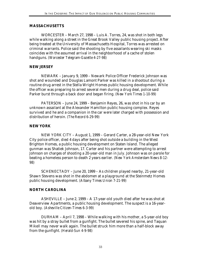#### **MASSACHUSETTS**

WORCESTER – March 27, 1998 – Luis A. Torres, 24, was shot in both legs while walking along a street in the Great Brook Valley public housing project. After being treated at the University of Massachusetts Hospital, Torres was arrested on criminal warrants. Police said the shooting by five assailants wearing ski masks coincides with the assumed arrival in the neighborhood of a cache of stolen handguns. *(Worcester Telegram-Gazette 4-27-98)*

#### **NEW JERSEY**

NEWARK – January 9, 1999 – Newark Police Officer Frederick Johnson was shot and wounded and Douglas Lamont Parker was killed in a shootout during a routine drug arrest in the Stella Wright Homes public housing development. While the officer was preparing to arrest several men during a drug deal, police said Parker burst through a back door and began firing. *(New York Times 1-10-99)*

PATERSON – June 24, 1999 – Benjamin Reyes, 26, was shot in his car by an unknown assailant at the Alexander Hamilton public housing complex. Reyes survived and he and a companion in the car were later charged with possession and distribution of heroin. *(The Record 6-29-99)*

#### **NEW YORK**

NEW YORK CITY – August 1, 1999 – Gerard Carter, a 28-year-old New York City police officer, died 4 days after being shot outside a building in the West Brighton Homes, a public housing development on Staten Island. The alleged gunman was Shatiek Johnson, 17. Carter and his partner were attempting to arrest Johnson on charges of shooting a 20-year-old man in July. Johnson was on parole for beating a homeless person to death 2 years earlier. *(New York Amsterdam News 8-12- 98)*

SCHENECTADY – June 20, 1999 – As children played nearby, 21-year-old Shawn Stevens was shot in the abdomen at a playground at the Steinmetz Homes public housing development. *(Albany Times Union 7-21-99)*

#### **NORTH CAROLINA**

ASHEVILLE – June 2, 1999 – A 17-year-old youth died after he was shot at Deaverview Apartments, a public housing development. The suspect is a 16-yearold boy. *(Asheville Citizen-Times 6-3-99)*

DURHAM – April 7, 1998 – While walking with his mother, a 5-year-old boy was hit by a stray bullet from a gunfight. The bullet severed his spine, and Taquan Mikell may never walk again. The bullet struck him more than a half-block away from the gunfight. *(Herald-Sun 4-9-98)*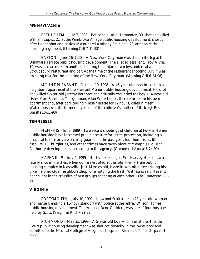#### **PENNSYLVANIA**

BETHLEHEM – July 7, 1998 – Police said Julio Hernandez, 39, shot and killed William Lopez, 21, at the Pembroke Village public housing development, shortly after Lopez shot and critically wounded Anthony Feliciano, 23, after an earlymorning argument. *(Morning Call 7-31-98)*

EASTON – June 16, 1998 – A New York City man was shot in the leg at the Delaware Terrace public housing development. The alleged assailant, Troy Alvin, 19, was also arrested in another shooting that injured two bystanders at a Stroudsburg restaurant and bar. At the time of the restaurant shooting, Alvin was awaiting trial for the shooting of the New York City man. *(Morning Call 6-24-98)*

MOUNT PLEASANT – October 10, 1998 – A 46-year-old man broke into a neighbor's apartment at the Pleasant Manor public housing development. He shot and killed 9-year-old Jeremy Barnhart and critically wounded the boy's 14-year-old sister, Cori Barnhart. The gunman, Alan Waterhouse, then returned to his own apartment and, after barricading himself inside for 12 hours, killed himself. Waterhouse was the former boyfriend of the children's mother. *(Pittsburgh Post-Gazette 10-11-98)*

#### **TENNESSEE**

MEMPHIS – June, 1999 – Two recent shootings of children at Fowler Homes public housing have increased public pressure for better protection, including a proposal to hire private security guards. In the past year, four homicides, 62 assaults, 133 burglaries, and other crimes have taken place at Memphis Housing Authority developments, according to the agency. *(Commercial Appeal 6-24-99)*

NASHVILLE – July 2, 1999 – Nashville teenager, Eric Harvey Hazelitt, was fatally shot in the chest when gunfire erupted at the John Henry Hale public housing complex in Nashville. Just 14 years old, Hazelitt was often seen riding his bike, helping older neighbors shop, or emptying the trash. Witnesses said Hazelitt got caught in the crossfire of two groups shooting at each other. *(The Tennessean 7-7- 99)*

#### **VIRGINIA**

PORTSMOUTH – July 10, 1999 – Linwood Scott killed a 28-year-old woman and himself, ending a 13-hour standoff with police at the Jeffrey Wilson Homes public housing development. The woman, Rene Childers, was one of four hostages held by Scott. *(Virginian Pilot 7-22-99)*

RICHMOND – May 25, 1999 – A 5-year-old boy who lives at the Hillside Court public housing development was shot accidentally in the lower back and admitted to the Medical College of Virginia's hospital. *(Richmond Times-Dispatch 4- 29-99)*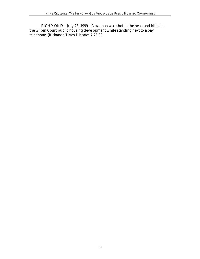RICHMOND – July 23, 1999 – A woman was shot in the head and killed at the Gilpin Court public housing development while standing next to a pay telephone. *(Richmond Times-Dispatch 7-23-99)*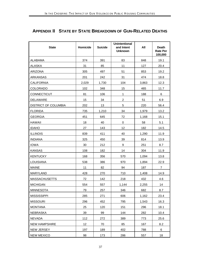# **APPENDIX II STATE BY STATE BREAKDOWN OF GUN-RELATED DEATHS**

| <b>State</b>                | Homicide | <b>Suicide</b> | <b>Unintentional</b><br>and Intent<br><b>Unknown</b> | All   | <b>Death</b><br><b>Rate Per</b><br>100,000 |
|-----------------------------|----------|----------------|------------------------------------------------------|-------|--------------------------------------------|
| ALABAMA                     | 374      | 391            | 83                                                   | 848   | 19.1                                       |
| <b>ALASKA</b>               | 31       | 85             | 11                                                   | 127   | 20.4                                       |
| ARIZONA                     | 305      | 497            | 51                                                   | 853   | 19.2                                       |
| <b>ARKANSAS</b>             | 201      | 242            | 31                                                   | 474   | 18.8                                       |
| <b>CALIFORNIA</b>           | 2,029    | 1,730          | 104                                                  | 3,863 | 12.3                                       |
| COLORADO                    | 102      | 348            | 15                                                   | 465   | 11.7                                       |
| CONNECTICUT                 | 81       | 106            | 1                                                    | 188   | 6                                          |
| DELAWARE                    | 15       | 34             | $\overline{a}$                                       | 51    | 6.9                                        |
| <b>DISTRICT OF COLUMBIA</b> | 202      | 13             | 5                                                    | 220   | 56.4                                       |
| <b>FLORIDA</b>              | 735      | 1,210          | 34                                                   | 1,979 | 13.2                                       |
| <b>GEORGIA</b>              | 451      | 645            | 72                                                   | 1,168 | 15.1                                       |
| <b>HAWAII</b>               | 18       | 40             | 0                                                    | 58    | 5.1                                        |
| <b>IDAHO</b>                | 27       | 143            | 12                                                   | 182   | 14.5                                       |
| <b>ILLINOIS</b>             | 839      | 411            | 40                                                   | 1,290 | 11.9                                       |
| <b>INDIANA</b>              | 325      | 450            | 39                                                   | 814   | 13.9                                       |
| <b>IOWA</b>                 | 30       | 212            | 9                                                    | 251   | 8.7                                        |
| <b>KANSAS</b>               | 108      | 182            | 14                                                   | 304   | 11.9                                       |
| <b>KENTUCKY</b>             | 168      | 356            | 570                                                  | 1,094 | 13.8                                       |
| LOUISIANA                   | 538      | 386            | 970                                                  | 1,894 | 22.9                                       |
| <b>MAINE</b>                | 11       | 82             | 94                                                   | 187   | $\overline{7}$                             |
| <b>MARYLAND</b>             | 428      | 270            | 710                                                  | 1,408 | 14.9                                       |
| <b>MASSACHUSETTS</b>        | 72       | 142            | 218                                                  | 432   | 4.6                                        |
| <b>MICHIGAN</b>             | 554      | 557            | 1,144                                                | 2,255 | 14                                         |
| <b>MINNESOTA</b>            | 79       | 257            | 346                                                  | 682   | 8.7                                        |
| <b>MISSISSIPPI</b>          | 285      | 271            | 606                                                  | 1,162 | 23.4                                       |
| <b>MISSOURI</b>             | 296      | 452            | 795                                                  | 1,543 | 16.3                                       |
| <b>MONTANA</b>              | 25       | 120            | 151                                                  | 296   | 18.1                                       |
| <b>NEBRASKA</b>             | 39       | 99             | 144                                                  | 282   | 10.4                                       |
| <b>NEVADA</b>               | 112      | 272            | 389                                                  | 773   | 25.6                                       |
| <b>NEW HAMPSHIRE</b>        | 12       | 70             | 85                                                   | 167   | 8.2                                        |
| NEW JERSEY                  | 197      | 189            | 402                                                  | 788   | 6                                          |
| <b>NEW MEXICO</b>           | 98       | 173            | 286                                                  | 557   | 18                                         |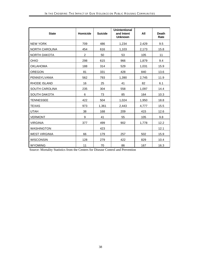| <b>State</b>          | Homicide       | <b>Suicide</b> | <b>Unintentional</b><br>and Intent<br><b>Unknown</b> | All   | <b>Death</b><br>Rate |
|-----------------------|----------------|----------------|------------------------------------------------------|-------|----------------------|
| <b>NEW YORK</b>       | 709            | 486            | 1,234                                                | 2,429 | 9.5                  |
| NORTH CAROLINA        | 454            | 616            | 1,103                                                | 2,173 | 15.8                 |
| NORTH DAKOTA          | $\overline{2}$ | 50             | 53                                                   | 105   | 11                   |
| <b>OHIO</b>           | 298            | 615            | 966                                                  | 1,879 | 9.4                  |
| <b>OKLAHOMA</b>       | 188            | 314            | 529                                                  | 1,031 | 15.9                 |
| <b>OREGON</b>         | 81             | 331            | 428                                                  | 840   | 13.6                 |
| PENNSYLVANIA          | 562            | 793            | 1,390                                                | 2,745 | 11.9                 |
| RHODE ISLAND          | 16             | 25             | 41                                                   | 82    | 6.1                  |
| <b>SOUTH CAROLINA</b> | 235            | 304            | 558                                                  | 1,097 | 14.4                 |
| <b>SOUTH DAKOTA</b>   | 6              | 73             | 85                                                   | 164   | 10.3                 |
| <b>TENNESSEE</b>      | 422            | 504            | 1,024                                                | 1,950 | 18.8                 |
| <b>TEXAS</b>          | 973            | 1,361          | 2,443                                                | 4,777 | 15.5                 |
| <b>UTAH</b>           | 38             | 168            | 209                                                  | 415   | 12.6                 |
| <b>VERMONT</b>        | 9              | 41             | 55                                                   | 105   | 9.8                  |
| <b>VIRGINIA</b>       | 377            | 499            | 902                                                  | 1,778 | 12.2                 |
| <b>WASHINGTON</b>     |                | 423            |                                                      |       | 12.1                 |
| <b>WEST VIRGINIA</b>  | 66             | 179            | 257                                                  | 502   | 15.9                 |
| <b>WISCONSIN</b>      | 128            | 279            | 422                                                  | 829   | 10.4                 |
| <b>WYOMING</b>        | 11             | 70             | 86                                                   | 167   | 16.3                 |

Source: Mortality Statistics from the Centers for Disease Control and Prevention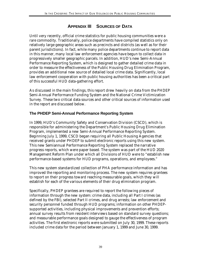# **APPENDIX III SOURCES OF DATA**

Until very recently, official crime statistics for public housing communities were a rare commodity. Traditionally, police departments have compiled statistics only on relatively large geographic areas such as precincts and districts (as well as for their parent jurisdictions). In fact, while many police departments continue to report data in this manner, many local law enforcement agencies have begun to collect data in progressively smaller geographic parcels. In addition, HUD's new Semi-Annual Performance Reporting System, which is designed to gather detailed crime data in order to measure the effectiveness of the Public Housing Drug Elimination Program, provides an additional new source of detailed local crime data. Significantly, local law enforcement cooperation with public housing authorities has been a critical part of this successful HUD data-gathering effort.

As discussed in the main findings, this report drew heavily on data from the PHDEP Semi-Annual Performance Funding System and the National Crime Victimization Survey. These two critical data sources and other critical sources of information used in the report are discussed below.

## **The PHDEP Semi-Annual Performance Reporting System**

In 1999, HUD's Community Safety and Conservation Division (CSCD), which is responsible for administering the Department's Public Housing Drug Elimination Program, implemented a new Semi-Annual Performance Reporting System. Beginning July 1, 1999, CSCD began requiring all Public Housing Agencies that received grants under PHDEP to submit electronic reports using this new system. This new Semiannual Performance Reporting System replaced the narrative progress reports, which were paper based. The system was part of the HUD 2020 Management Reform Plan under which all Divisions of HUD were to "establish new performance-based systems for HUD programs, operations, and employees."

This new system standardized collection of PHA performance information and has improved the reporting and monitoring process. The new system requires grantees to report on their progress toward reaching measurable goals, which they will establish for each of the various elements of their drug elimination program.

Specifically, PHDEP grantees are required to report the following pieces of information through the new system: crime data, including all Part I crimes (as defined by the FBI), selected Part II crimes, and drug arrests; law enforcement and security personnel funded through HUD programs; information on other PHDEPsupported activities, including physical improvements and prevention efforts; annual survey results from resident interviews based on standard survey questions; and measurable performance goals designed to gauge the effectiveness of program activities. The first electronic reports were submitted on July 30, 1999. These reports included crime data for the period between January 1, 1999 and June 30, 1999.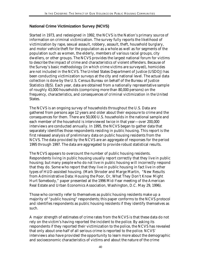## **National Crime Victimization Survey (NCVS)**

Started in 1973, and redesigned in 1992, the NCVS is the Nation's primary source of information on criminal victimization. The survey fully reports the likelihood of victimization by rape, sexual assault, robbery, assault, theft, household burglary, and motor vehicle theft for the population as a whole as well as for segments of the population such as women, the elderly, members of various racial groups, city dwellers, or other groups. The NCVS provides the largest national forum for victims to describe the impact of crime and characteristics of violent offenders. Because of the Survey's basic methodology (in which crime victims are surveyed), homicides are not included in the NCVS. The United States Department of Justice (USDOJ) has been conducting victimization surveys at the city and national level. The actual data collection is done by the U.S. Census Bureau on behalf of the Bureau of Justice Statistics (BJS). Each year, data are obtained from a nationally representative sample of roughly 43,000 households (comprising more than 80,000 persons) on the frequency, characteristics, and consequences of criminal victimization in the United States.

The NCVS is an ongoing survey of households throughout the U.S. Data are gathered from persons age 12 years and older about their exposure to crime and the consequences for them. There are 50,000 U.S. households in the national sample and each member of the household is interviewed twice in that year—over 200,000 interviews are conducted annually. In 1995, the NCVS began to gather data that separately identifies those respondents residing in public housing. This report is the first released analysis of preliminary data on public housing residents from the NCVS. The data provided by the NCVS are an aggregate of responses for the period 1995 through 1997. The data are aggregated to provide robust statistical results.

The NCVS appears to overcount the number of public housing residents. Respondents living in public housing usually report correctly that they live in public housing; but many people who do *not* live in public housing will incorrectly respond that they do. Some who report that they live in public housing in fact live in other types of HUD-assisted housing. (Mark Shroder and Marge Martin, "New Results from Administrative Data: Housing the Poor, Or, What They Don't Know Might Hurt Somebody," paper presented at the 1996 Mid-Year meeting of the American Real Estate and Urban Economics Association, Washington, D.C. May 29, 1996).

Those who correctly refer to themselves as public housing residents make up a majority of "public housing" respondents; this paper conforms to the NCVS protocol and identifies respondents as public housing residents if they identify themselves as such.

A major strength of estimates of crime rates from the NCVS is that these data do not rely on the victim's having reported the incident to the police. By asking its respondents if they reported their victimization to the police, the NCVS has revealed that only about one-half of all serious crime is reported to the police. NCVS' interviews also have provided the opportunity to learn more about the demographic and socioeconomic characteristics of victims and about the nature of the crime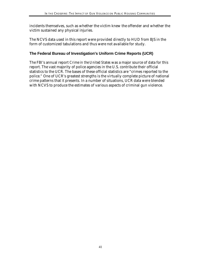incidents themselves, such as whether the victim knew the offender and whether the victim sustained any physical injuries.

The NCVS data used in this report were provided directly to HUD from BJS in the form of customized tabulations and thus were not available for study.

## **The Federal Bureau of Investigation's Uniform Crime Reports (UCR)**

The FBI's annual report *Crime in the United States* was a major source of data for this report. The vast majority of police agencies in the U.S. contribute their official statistics to the UCR. The bases of these official statistics are "crimes reported to the police." One of UCR's greatest strengths is the virtually complete picture of national crime patterns that it presents. In a number of situations, UCR data were blended with NCVS to produce the estimates of various aspects of criminal gun violence.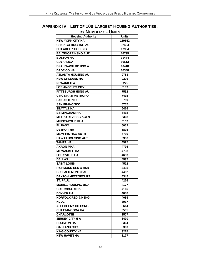# **APPENDIX IV LIST OF 100 LARGEST HOUSING AUTHORITIES, BY NUMBER OF UNITS**

| <b>Housing Authority</b>      | <b>Units</b> |
|-------------------------------|--------------|
| <b>NEW YORK CITY HA</b>       | 159652       |
| <b>CHICAGO HOUSING AU</b>     | 32404        |
| PHILADELPHIA HSNG             | 17934        |
| <b>BALTIMORE HSNG AUT</b>     | 16795        |
| <b>BOSTON HA</b>              | 11474        |
| <b>CUYAHOGA</b>               | 10513        |
| <b>DPAH WASH DC HSG A</b>     | 10418        |
| <b>DADE CO HA</b>             | 10348        |
| <b>ATLANTA HOUSING AU</b>     | 9753         |
| <b>NEW ORLEANS HA</b>         | 9306         |
| <b>NEWARK H A</b>             | 9225         |
| <b>LOS ANGELES CITY</b>       | 8189         |
| PITTSBURGH HSNG AU            | 7532         |
| <b>CINCINNATI METROPO</b>     | 7415         |
| <b>SAN ANTONIO</b>            | 6759         |
| <b>SAN FRANCISCO</b>          | 6757         |
| <b>SEATTLE HA</b>             | 6466         |
| <b>BIRMINGHAM HA</b>          | 6418         |
| <b>METRO DEV HSG AGEN</b>     | 6368         |
| <b>MINNEAPOLIS PHA</b>        | 6152         |
| <b>EL PASO</b>                | 6052         |
| <b>DETROIT HA</b>             | 5895         |
| <b>MEMPHIS HSG AUTH</b>       | 5769         |
| <b>HAWAII HOUSING AUT</b>     | 5386         |
| <b>TAMPA HA</b>               | 4925         |
| <b>AKRON MHA</b>              | 4796         |
| <b>MILWAUKEE HA</b>           | 4738         |
| <b>LOUISVILLE HA</b>          | 4683         |
| <b>DALLAS</b>                 | 4587         |
| <b>SAINT LOUIS</b>            | 4572         |
| <b>RICHMOND RED &amp; HSN</b> | 4495         |
| <b>BUFFALO MUNICIPAL</b>      | 4482         |
| <b>DAYTON METROPOLITA</b>     | 4342         |
| <b>ST. PAUL</b>               | 4276         |
| <b>MOBILE HOUSING BOA</b>     | 4177         |
| <b>COLUMBUS MHA</b>           | 4115         |
| <b>DENVER HA</b>              | 4088         |
| <b>NORFOLK RED &amp; HSNG</b> | 4085         |
| <b>KCDC</b>                   | 3917         |
| <b>ALLEGHENY CO HSNG</b>      | 3614         |
| <b>CHATTANOOGA HA</b>         | 3585         |
| <b>CHARLOTTE</b>              | 3507         |
| <b>JERSEY CITY H A</b>        | 3490         |
| <b>HOUSTON HA</b>             | 3364         |
| <b>OAKLAND CITY</b>           | 3300         |
| <b>KING COUNTY HA</b>         | 3275         |
| <b>NEW HAVEN HA</b>           | 3177         |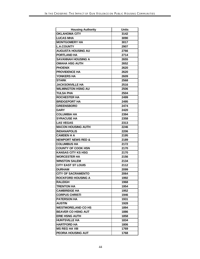| <b>Housing Authority</b>      | <b>Units</b> |
|-------------------------------|--------------|
| <b>OKLAHOMA CITY</b>          | 3142         |
| <b>LUCAS MHA</b>              | 3090         |
| <b>MONTGOMERY HA</b>          | 3017         |
| <b>L.A.COUNTY</b>             | 2907         |
| <b>AUGUSTA HOUSING AU</b>     | 2766         |
| <b>PORTLAND HA</b>            | 2714         |
| <b>SAVANNAH HOUSING A</b>     | 2655         |
| <b>OMAHA HSG AUTH</b>         | 2652         |
| <b>PHOENIX</b>                | 2620         |
| <b>PROVIDENCE HA</b>          | 2620         |
| YONKERS HA                    | 2609         |
| <b>STARK</b>                  | 2568         |
| <b>JACKSONVILLE HA</b>        | 2516         |
| <b>WILMINGTON HSNG AU</b>     | 2506         |
| <b>TULSA PHA</b>              | 2504         |
| <b>ROCHESTER HA</b>           | 2499         |
| <b>BRIDGEPORT HA</b>          | 2495         |
| <b>GREENSBORO</b>             | 2474         |
| <b>GARY</b>                   | 2420         |
| <b>COLUMBIA HA</b>            | 2394         |
| <b>SYRACUSE HA</b>            | 2358         |
| <b>LAS VEGAS</b>              | 2313         |
| <b>MACON HOUSING AUTH</b>     | 2246         |
| <b>INDIANAPOLIS</b>           | 2206         |
| <b>CAMDEN H A</b>             | 2195         |
| <b>NEWPORT NEWS RED &amp;</b> | 2189         |
| <b>COLUMBUS HA</b>            | 2172         |
| <b>COUNTY OF COOK HSN</b>     | 2170         |
| <b>KANSAS CITY KS HSG</b>     | 2170         |
| <b>WORCESTER HA</b>           | 2156         |
| <b>WINSTON SALEM</b>          | 2134         |
| <b>CITY EAST ST LOUIS</b>     | 2112         |
| <b>DURHAM</b>                 | 2099         |
| <b>CITY OF SACRAMENTO</b>     | 2064         |
| <b>ROCKFORD HOUSING A</b>     | 1992         |
| RALEIGH                       | 1968         |
| <b>TRENTON HA</b>             | 1954         |
| <b>CAMBRIDGE HA</b>           | 1952         |
| <b>CORPUS CHRISTI</b>         | 1946         |
| <b>PATERSON HA</b>            | 1931         |
| <b>AUSTIN</b>                 | 1928         |
| <b>WESTMORELAND CO HS</b>     | 1894         |
| <b>BEAVER CO HSNG AUT</b>     | 1886         |
| <b>ERIE HSNG AUTH</b>         | 1858         |
| <b>HUNTSVILLE HA</b>          | 1834         |
| <b>HARTFORD HA</b>            | 1806         |
| <b>MS REG HA VIII</b>         | 1769         |
| PEORIA HOUSING AUT            | 1768         |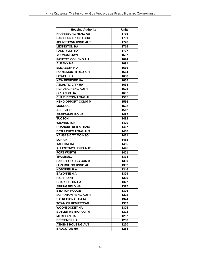| <b>Housing Authority</b>      | <b>Units</b> |
|-------------------------------|--------------|
| <b>HARRISBURG HSNG AU</b>     | 1735         |
| <b>SAN BERNARDINO COU</b>     | 1731         |
| <b>JOHNSTOWN HSNG AUT</b>     | 1728         |
| <b>LEXINGTON HA</b>           | 1716         |
| <b>FALL RIVER HA</b>          | 1707         |
| <b>YOUNGSTOWN</b>             | 1697         |
| <b>FAYETTE CO HSNG AU</b>     | 1694         |
| <b>ALBANY HA</b>              | 1691         |
| <b>ELIZABETH H A</b>          | 1666         |
| <b>PORTSMOUTH RED &amp; H</b> | 1664         |
| <b>LOWELL HA</b>              | 1638         |
| <b>NEW BEDFORD HA</b>         | 1638         |
| <b>ATLANTIC CITY HA</b>       | 1634         |
| <b>READING HSNG AUTH</b>      | 1625         |
| <b>ORLANDO HA</b>             | 1607         |
| <b>CHARLESTON HSNG AU</b>     | 1565         |
| <b>HSNG OPPORT COMM M</b>     | 1536         |
| <b>MONROE</b>                 | 1522         |
| <b>ASHEVILLE</b>              | 1512         |
| <b>SPARTANBURG HA</b>         | 1492         |
| <b>TUCSON</b>                 | 1482         |
| <b>WILMINGTON</b>             | 1470         |
| <b>ROANOKE RED &amp; HSNG</b> | 1467         |
| <b>BETHLEHEM HSNG AUT</b>     | 1466         |
| <b>KANSAS CITY MO HSG</b>     | 1461         |
| <b>LORAIN</b>                 | 1458         |
| <b>TACOMA HA</b>              | 1455         |
| <b>ALLENTOWN HSNG AUT</b>     | 1445         |
| <b>FORT WORTH</b>             | 1401         |
| <b>TRUMBULL</b>               | 1398         |
| <b>SAN DIEGO HSG COMM</b>     | 1390         |
| <b>LUZERNE CO HSNG AU</b>     | 1352         |
| <b>HOBOKEN H A</b>            | 1346         |
| <b>BAYONNE H A</b>            | 1329         |
| <b>HIGH POINT</b>             | 1329         |
| <b>CHARLESTON HA</b>          | 1327         |
| <b>SPRINGFIELD HA</b>         | 1327         |
| <b>E BATON ROUGE</b>          | 1326         |
| <b>SCRANTON HSNG AUTH</b>     | 1325         |
| <b>S C REGIONAL HA NO</b>     | 1324         |
| <b>TOWN OF HEMPSTEAD</b>      | 1309         |
| <b>WOONSOCKET HA</b>          | 1305         |
| <b>BUTLER METROPOLITA</b>     | 1302         |
| MERIDIAN HA                   | 1297         |
| <b>BESSEMER HA</b>            | 1288         |
| <b>ATHENS HOUSING AUT</b>     | 1270         |
| <b>BROCKTON HA</b>            | 1254         |
|                               |              |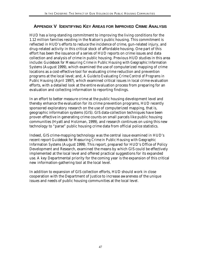# **APPENDIX V IDENTIFYING KEY AREAS FOR IMPROVED CRIME ANALYSIS**

HUD has a long-standing commitment to improving the living conditions for the 1.12 million families residing in the Nation's public housing. This commitment is reflected in HUD's efforts to reduce the incidence of crime, gun-related injury, and drug-related activity in this critical stock of affordable housing. One part of this effort has been the issuance of a series of HUD reports on crime issues and data collection and analysis of crime in public housing. Previous HUD studies in this area include: *Guidebook for Measuring Crime in Public Housing with Geographic Information Systems* (August 1999), which examined the use of computerized mapping of crime locations as a cost-effective tool for evaluating crime reduction and prevention programs at the local level; and, *A Guide to Evaluating Crime Control of Programs in Public Housing* (April 1997), which examined critical issues in local crime evaluation efforts, with a detailed look at the entire evaluation process from preparing for an evaluation and collecting information to reporting findings.

In an effort to better measure crime at the public housing development level and thereby enhance the evaluation for its crime prevention programs, HUD recently sponsored exploratory research on the use of computerized mapping, that is, geographic information systems (GIS). GIS data-collection techniques have been proven effective in generating crime counts on small parcels like public housing communities (Hyatt and Holzman, 1999), and research continues on using this new technology to "parse" public housing crime data from official police statistics.

Indeed, GIS crime-mapping technology was the central issue examined in HUD's recent report *Guidebook for Measuring Crime in Public Housing with Geographic Information Systems* (August 1999). This report, prepared for HUD's Office of Policy Development and Research, examined the means by which GIS could be effectively implemented at the local level and offered practical suggestions for its expanded use. A key Departmental priority for the coming year is the expansion of this critical new information-gathering tool at the local level.

In addition to expansion of GIS collection efforts, HUD should work in close cooperation with the Department of Justice to increase awareness of the unique issues and needs of public housing communities at the local level.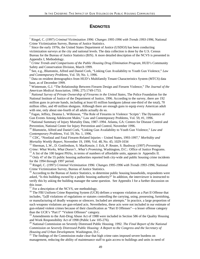#### **ENDNOTES**

6 Wintemute, G.J. "The Relationship Between Firearm Design and Firearm Violence," *The Journal of the American Medical Association*, 1996; 275:1749-1753.

<sup>7</sup> *National Survey of Private Ownership of Firearms in the United States*, The Police Foundation for the National Institute of Justice of the Department of Justice, 1996. According to the survey, there are 192 million guns in private hands, including at least 65 million handguns (about one-third of the total), 70 million rifles, and 49 million shotguns. Although there are enough guns to equip every American adult with one, only about one-fourth of all adults actually do so.

<sup>8</sup> Fagan, Jeffrey, Deanna L. Wilkinson, "The Role of Firearms in Violence 'Scripts': The Dynamics of Gun Events Among Adolescent Males," Law and Contemporary Problems, Vol. 59, #1, 1996.

<sup>9</sup> National Summary of Injury Mortality Data, 1987–1994. Atlanta, GA: Centers for Disease Control and Prevention, National Center for Injury Prevention and Control, November 1996.

<sup>10</sup> Blumstein, Alfred and Daniel Cork, "Linking Gun Availability to Youth Gun Violence," *Law and Contemporary Problems*, Vol. 59, No. 1, 1996.

<sup>11</sup> CDC, "Nonfatal and Fatal Firearm-Related Injuries – United States, 1993-1997," *Morbidity and Mortality Weekly Report*, November 19, 1999, Vol. 48, No. 45; 1029-1034

<sup>12</sup> Sherman, L.W., D. Gottfredson, S. MacKenzie, J. Eck, P. Reuter, S. Bushway (1997) *Preventing*

*Crime: What Works, What Doesn't , What's Promising*, Washington, D.C.: Office of Justice Programs.

 $^{13}$  A list of the 100 largest PHAs, in terms of numbers of affordable units, appears in Appendix II.

 $14$  Only 47 of the 55 public housing authorities reported both city-wide and public housing crime incidents for the 1994 through 1997 period.

<sup>15</sup> Ringel, C. (1997) *Criminal Victimization 1996: Changes 1995-1996 with Trends 1993-1996*, National Crime Victimization Survey, Bureau of Justice Statistics.

<sup>16</sup> According to the Bureau of Justice Statistics, to determine public housing households, respondents were asked, "Is this building owned by a public housing authority?" In addition, the interviewer is instructed to verify this by asking the building manager the same question. See Appendix I for a further discussion on this issue.

 $17$  For a description of the NCVS, see methodology.

-

<sup>18</sup> The FBI Uniform Crime Reporting System (UCR) defines a weapons violation as a Part II Offense that includes, "[a]ll violations of regulations or statutes controlling the carrying, using, possessing, furnishing, or manufacturing of deadly weapons or silencers. Included are attempts." In practice, a large proportion of such weapons violations are gun-related acts. Nevertheless, these acts were not included in our estimate of gun-related violent crimes because of their classification as "Part II Offenses"—a lesser offense category than the UCR's "Part I" "Violent Offenses" category.

<sup>19</sup> Amendments to the Anti-Drug Abuse Act of 1988 were included in Section 586 of the Quality Housing and Work Responsibility Act of 1998 (Public Law 105-276).

<sup>20</sup> National Commission on Severely Distressed Public Housing. 1992. *The Final Report of the National Commission on Severely Distressed Public Housing: A Report to the Congress and the Secretary of Housing and Urban Development.* Washington, D.C.

 $21$  The findings of the Commission make clear that high crime rates imposed severe burdens on management, reducing the ability of maintenance staff to gain access to buildings and units in need of

<sup>&</sup>lt;sup>1</sup> Ringel, C. (1997) *Criminal Victimization 1996: Changes 1995-1996 with Trends 1993-1996*, National Crime Victimization Survey, Bureau of Justice Statistics.

 $2^{2}$  Since the early 1970s, the United States Department of Justice (USDOJ) has been conducting victimization surveys at the city and national levels. The data collection is done by the U.S. Census Bureau for the Bureau of Justice Statistics (BJS). A more detailed description of the NCVS is presented in Appendix I, Methodology.

<sup>3</sup> *Crime Trends and Comparisons of the Public Housing Drug Elimination Program*, HUD's Community Safety and Conservation Division, March 1999.

<sup>4</sup> See, e.g., Blumstein, Alfred and Daniel Cork, "Linking Gun Availability to Youth Gun Violence," *Law and Contemporary Problems*, Vol. 59, No. 1, 1996.

<sup>&</sup>lt;sup>5</sup> Data on resident demographics from HUD's Multifamily Tenant Characteristics System (MTCS) data base, as of December 1999.